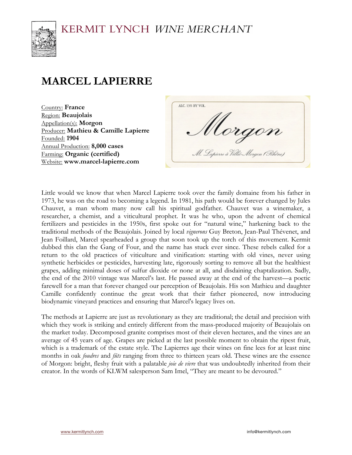

# **MARCEL LAPIERRE**

Country: **France** Region: **Beaujolais** Appellation(s): **Morgon** Producer: **Mathieu & Camille Lapierre** Founded: **1904** Annual Production: **8,000 cases** Farming: **Organic (certified)** Website: **www.marcel-lapierre.com**

ALC: 13% BY VOL. Uorgon M. Lapierre à Villié-Mergen (Pshêne)

Little would we know that when Marcel Lapierre took over the family domaine from his father in 1973, he was on the road to becoming a legend. In 1981, his path would be forever changed by Jules Chauvet, a man whom many now call his spiritual godfather. Chauvet was a winemaker, a researcher, a chemist, and a viticultural prophet. It was he who, upon the advent of chemical fertilizers and pesticides in the 1950s, first spoke out for "natural wine," harkening back to the traditional methods of the Beaujolais. Joined by local *vignerons* Guy Breton, Jean-Paul Thévenet, and Jean Foillard, Marcel spearheaded a group that soon took up the torch of this movement. Kermit dubbed this clan the Gang of Four, and the name has stuck ever since. These rebels called for a return to the old practices of viticulture and vinification: starting with old vines, never using synthetic herbicides or pesticides, harvesting late, rigorously sorting to remove all but the healthiest grapes, adding minimal doses of sulfur dioxide or none at all, and disdaining chaptalization. Sadly, the end of the 2010 vintage was Marcel's last. He passed away at the end of the harvest—a poetic farewell for a man that forever changed our perception of Beaujolais. His son Mathieu and daughter Camille confidently continue the great work that their father pioneered, now introducing biodynamic vineyard practices and ensuring that Marcel's legacy lives on.

The methods at Lapierre are just as revolutionary as they are traditional; the detail and precision with which they work is striking and entirely different from the mass-produced majority of Beaujolais on the market today. Decomposed granite comprises most of their eleven hectares, and the vines are an average of 45 years of age. Grapes are picked at the last possible moment to obtain the ripest fruit, which is a trademark of the estate style. The Lapierres age their wines on fine lees for at least nine months in oak *foudres* and *fûts* ranging from three to thirteen years old. These wines are the essence of Morgon: bright, fleshy fruit with a palatable *joie de vivre* that was undoubtedly inherited from their creator. In the words of KLWM salesperson Sam Imel, "They are meant to be devoured."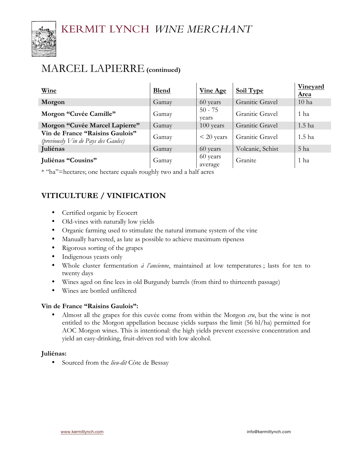

## MARCEL LAPIERRE**(continued)**

| Wine                                                                      | <b>Blend</b> | <b>Vine Age</b>     | <b>Soil Type</b> | <b>Vineyard</b><br>Area |
|---------------------------------------------------------------------------|--------------|---------------------|------------------|-------------------------|
| Morgon                                                                    | Gamay        | 60 years            | Granitic Gravel  | 10 <sub>ha</sub>        |
| Morgon "Cuvée Camille"                                                    | Gamay        | $50 - 75$<br>vears  | Granitic Gravel  | 1 ha                    |
| Morgon "Cuvée Marcel Lapierre"                                            | Gamay        | 100 years           | Granitic Gravel  | 1.5 <sub>ha</sub>       |
| Vin de France "Raisins Gaulois"<br>(previously $V$ in de Pays des Gaules) | Gamay        | $<$ 20 years        | Granitic Gravel  | 1.5 ha                  |
| <b>Juliénas</b>                                                           | Gamay        | 60 years            | Volcanic, Schist | 5 ha                    |
| Juliénas "Cousins"                                                        | Gamay        | 60 years<br>average | Granite          | 1 ha                    |

\* "ha"=hectares; one hectare equals roughly two and a half acres

### **VITICULTURE / VINIFICATION**

- Certified organic by Ecocert
- Old-vines with naturally low yields
- Organic farming used to stimulate the natural immune system of the vine
- Manually harvested, as late as possible to achieve maximum ripeness
- Rigorous sorting of the grapes
- Indigenous yeasts only
- Whole cluster fermentation *à l'ancienne*, maintained at low temperatures ; lasts for ten to twenty days
- Wines aged on fine lees in old Burgundy barrels (from third to thirteenth passage)
- Wines are bottled unfiltered

#### **Vin de France "Raisins Gaulois":**

• Almost all the grapes for this cuvée come from within the Morgon *cru*, but the wine is not entitled to the Morgon appellation because yields surpass the limit (56 hl/ha) permitted for AOC Morgon wines. This is intentional: the high yields prevent excessive concentration and yield an easy-drinking, fruit-driven red with low alcohol.

#### **Juliénas:**

• Sourced from the *lieu-dit* Côte de Bessay